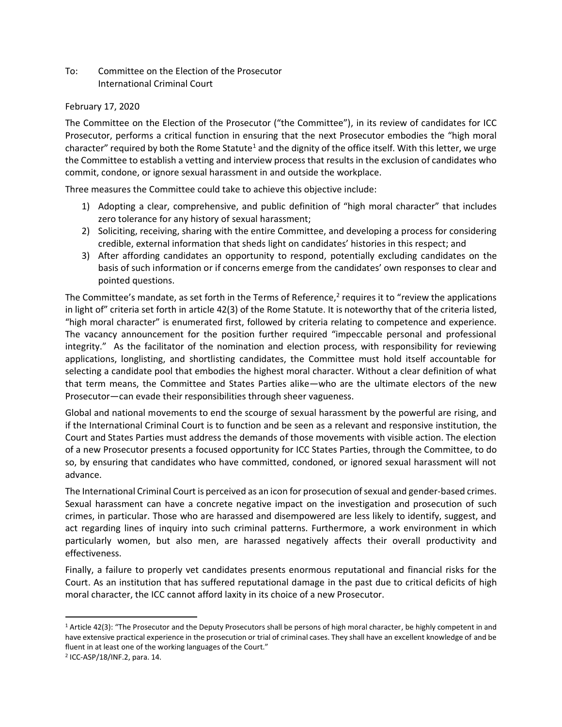To: Committee on the Election of the Prosecutor International Criminal Court

## February 17, 2020

The Committee on the Election of the Prosecutor ("the Committee"), in its review of candidates for ICC Prosecutor, performs a critical function in ensuring that the next Prosecutor embodies the "high moral character" required by both the Rome Statute<sup>1</sup> and the dignity of the office itself. With this letter, we urge the Committee to establish a vetting and interview process that results in the exclusion of candidates who commit, condone, or ignore sexual harassment in and outside the workplace.

Three measures the Committee could take to achieve this objective include:

- 1) Adopting a clear, comprehensive, and public definition of "high moral character" that includes zero tolerance for any history of sexual harassment;
- 2) Soliciting, receiving, sharing with the entire Committee, and developing a process for considering credible, external information that sheds light on candidates' histories in this respect; and
- 3) After affording candidates an opportunity to respond, potentially excluding candidates on the basis of such information or if concerns emerge from the candidates' own responses to clear and pointed questions.

The Committee's mandate, as set forth in the Terms of Reference, $2$  requires it to "review the applications in light of" criteria set forth in article 42(3) of the Rome Statute. It is noteworthy that of the criteria listed, "high moral character" is enumerated first, followed by criteria relating to competence and experience. The vacancy announcement for the position further required "impeccable personal and professional integrity." As the facilitator of the nomination and election process, with responsibility for reviewing applications, longlisting, and shortlisting candidates, the Committee must hold itself accountable for selecting a candidate pool that embodies the highest moral character. Without a clear definition of what that term means, the Committee and States Parties alike—who are the ultimate electors of the new Prosecutor—can evade their responsibilities through sheer vagueness.

Global and national movements to end the scourge of sexual harassment by the powerful are rising, and if the International Criminal Court is to function and be seen as a relevant and responsive institution, the Court and States Parties must address the demands of those movements with visible action. The election of a new Prosecutor presents a focused opportunity for ICC States Parties, through the Committee, to do so, by ensuring that candidates who have committed, condoned, or ignored sexual harassment will not advance.

The International Criminal Court is perceived as an icon for prosecution of sexual and gender-based crimes. Sexual harassment can have a concrete negative impact on the investigation and prosecution of such crimes, in particular. Those who are harassed and disempowered are less likely to identify, suggest, and act regarding lines of inquiry into such criminal patterns. Furthermore, a work environment in which particularly women, but also men, are harassed negatively affects their overall productivity and effectiveness.

Finally, a failure to properly vet candidates presents enormous reputational and financial risks for the Court. As an institution that has suffered reputational damage in the past due to critical deficits of high moral character, the ICC cannot afford laxity in its choice of a new Prosecutor.

<sup>1</sup> Article 42(3): "The Prosecutor and the Deputy Prosecutors shall be persons of high moral character, be highly competent in and have extensive practical experience in the prosecution or trial of criminal cases. They shall have an excellent knowledge of and be fluent in at least one of the working languages of the Court."

<sup>2</sup> ICC-ASP/18/INF.2, para. 14.